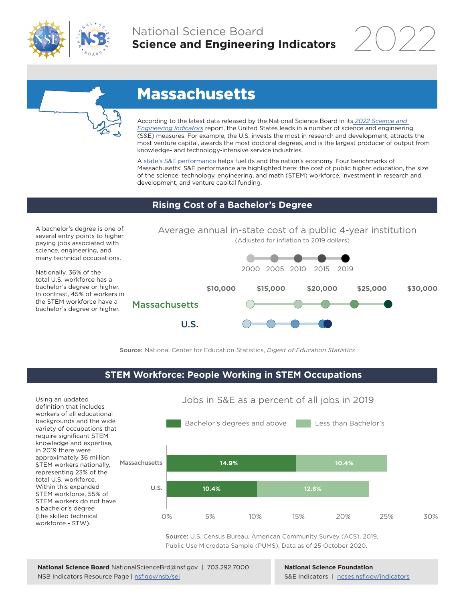



# Massachusetts

According to the latest data released by the National Science Board in its *[2022 Science and](https://www.ncses.nsf.gov/indicators)  [Engineering Indicators](https://www.ncses.nsf.gov/indicators)* report, the United States leads in a number of science and engineering (S&E) measures. For example, the U.S. invests the most in research and development, attracts the most venture capital, awards the most doctoral degrees, and is the largest producer of output from knowledge- and technology-intensive service industries.

A [state's S&E performance](https://ncses.nsf.gov/indicators/states/) helps fuel its and the nation's economy. Four benchmarks of Massachusetts' S&E performance are highlighted here: the cost of public higher education, the size of the science, technology, engineering, and math (STEM) workforce, investment in research and development, and venture capital funding.

## **Rising Cost of a Bachelor's Degree**

A bachelor's degree is one of several entry points to higher paying jobs associated with science, engineering, and many technical occupations.

Nationally, 36% of the total U.S. workforce has a bachelor's degree or higher. In contrast, 45% of workers in the STEM workforce have a the STEM workforce have a<br>bachelor's degree or higher. Massachusetts



Source: National Center for Education Statistics, *Digest of Education Statistics*

### **STEM Workforce: People Working in STEM Occupations**



Source: U.S. Census Bureau, American Community Survey (ACS), 2019, Public Use Microdata Sample (PUMS), Data as of 25 October 2020.